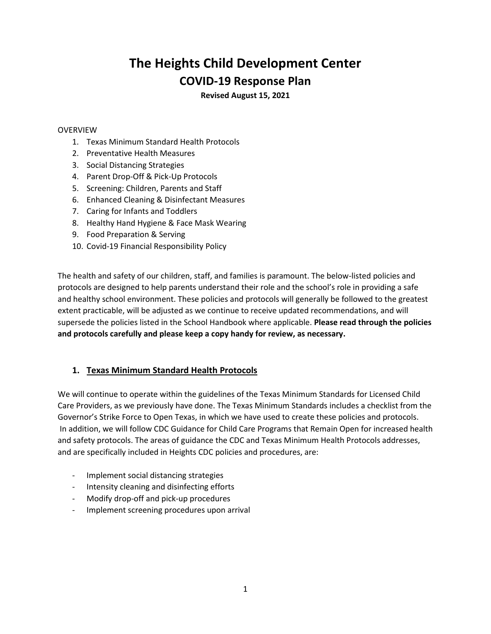# **The Heights Child Development Center COVID-19 Response Plan**

**Revised August 15, 2021**

### OVERVIEW

- 1. Texas Minimum Standard Health Protocols
- 2. Preventative Health Measures
- 3. Social Distancing Strategies
- 4. Parent Drop-Off & Pick-Up Protocols
- 5. Screening: Children, Parents and Staff
- 6. Enhanced Cleaning & Disinfectant Measures
- 7. Caring for Infants and Toddlers
- 8. Healthy Hand Hygiene & Face Mask Wearing
- 9. Food Preparation & Serving
- 10. Covid-19 Financial Responsibility Policy

The health and safety of our children, staff, and families is paramount. The below-listed policies and protocols are designed to help parents understand their role and the school's role in providing a safe and healthy school environment. These policies and protocols will generally be followed to the greatest extent practicable, will be adjusted as we continue to receive updated recommendations, and will supersede the policies listed in the School Handbook where applicable. **Please read through the policies and protocols carefully and please keep a copy handy for review, as necessary.**

# **1. Texas Minimum Standard Health Protocols**

We will continue to operate within the guidelines of the Texas Minimum Standards for Licensed Child Care Providers, as we previously have done. The Texas Minimum Standards includes a checklist from the Governor's Strike Force to Open Texas, in which we have used to create these policies and protocols. In addition, we will follow CDC Guidance for Child Care Programs that Remain Open for increased health and safety protocols. The areas of guidance the CDC and Texas Minimum Health Protocols addresses, and are specifically included in Heights CDC policies and procedures, are:

- Implement social distancing strategies
- Intensity cleaning and disinfecting efforts
- Modify drop-off and pick-up procedures
- Implement screening procedures upon arrival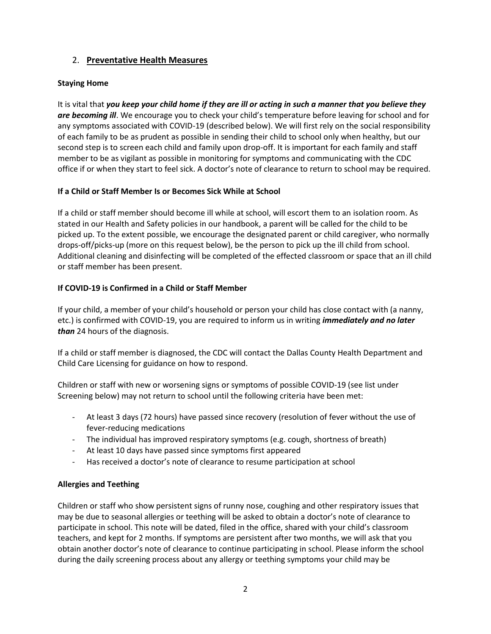# 2. **Preventative Health Measures**

# **Staying Home**

It is vital that *you keep your child home if they are ill or acting in such a manner that you believe they are becoming ill*. We encourage you to check your child's temperature before leaving for school and for any symptoms associated with COVID-19 (described below). We will first rely on the social responsibility of each family to be as prudent as possible in sending their child to school only when healthy, but our second step is to screen each child and family upon drop-off. It is important for each family and staff member to be as vigilant as possible in monitoring for symptoms and communicating with the CDC office if or when they start to feel sick. A doctor's note of clearance to return to school may be required.

# **If a Child or Staff Member Is or Becomes Sick While at School**

If a child or staff member should become ill while at school, will escort them to an isolation room. As stated in our Health and Safety policies in our handbook, a parent will be called for the child to be picked up. To the extent possible, we encourage the designated parent or child caregiver, who normally drops-off/picks-up (more on this request below), be the person to pick up the ill child from school. Additional cleaning and disinfecting will be completed of the effected classroom or space that an ill child or staff member has been present.

# **If COVID-19 is Confirmed in a Child or Staff Member**

If your child, a member of your child's household or person your child has close contact with (a nanny, etc.) is confirmed with COVID-19, you are required to inform us in writing *immediately and no later than* 24 hours of the diagnosis.

If a child or staff member is diagnosed, the CDC will contact the Dallas County Health Department and Child Care Licensing for guidance on how to respond.

Children or staff with new or worsening signs or symptoms of possible COVID-19 (see list under Screening below) may not return to school until the following criteria have been met:

- At least 3 days (72 hours) have passed since recovery (resolution of fever without the use of fever-reducing medications
- The individual has improved respiratory symptoms (e.g. cough, shortness of breath)
- At least 10 days have passed since symptoms first appeared
- Has received a doctor's note of clearance to resume participation at school

### **Allergies and Teething**

Children or staff who show persistent signs of runny nose, coughing and other respiratory issues that may be due to seasonal allergies or teething will be asked to obtain a doctor's note of clearance to participate in school. This note will be dated, filed in the office, shared with your child's classroom teachers, and kept for 2 months. If symptoms are persistent after two months, we will ask that you obtain another doctor's note of clearance to continue participating in school. Please inform the school during the daily screening process about any allergy or teething symptoms your child may be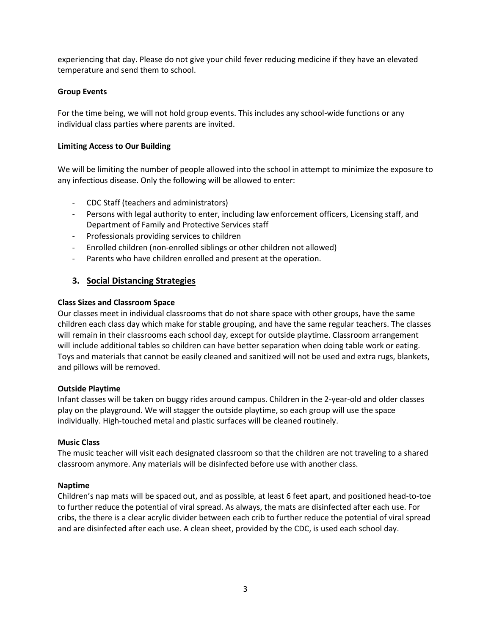experiencing that day. Please do not give your child fever reducing medicine if they have an elevated temperature and send them to school.

# **Group Events**

For the time being, we will not hold group events. This includes any school-wide functions or any individual class parties where parents are invited.

### **Limiting Access to Our Building**

We will be limiting the number of people allowed into the school in attempt to minimize the exposure to any infectious disease. Only the following will be allowed to enter:

- CDC Staff (teachers and administrators)
- Persons with legal authority to enter, including law enforcement officers, Licensing staff, and Department of Family and Protective Services staff
- Professionals providing services to children
- Enrolled children (non-enrolled siblings or other children not allowed)
- Parents who have children enrolled and present at the operation.

# **3. Social Distancing Strategies**

### **Class Sizes and Classroom Space**

Our classes meet in individual classrooms that do not share space with other groups, have the same children each class day which make for stable grouping, and have the same regular teachers. The classes will remain in their classrooms each school day, except for outside playtime. Classroom arrangement will include additional tables so children can have better separation when doing table work or eating. Toys and materials that cannot be easily cleaned and sanitized will not be used and extra rugs, blankets, and pillows will be removed.

### **Outside Playtime**

Infant classes will be taken on buggy rides around campus. Children in the 2-year-old and older classes play on the playground. We will stagger the outside playtime, so each group will use the space individually. High-touched metal and plastic surfaces will be cleaned routinely.

### **Music Class**

The music teacher will visit each designated classroom so that the children are not traveling to a shared classroom anymore. Any materials will be disinfected before use with another class.

### **Naptime**

Children's nap mats will be spaced out, and as possible, at least 6 feet apart, and positioned head-to-toe to further reduce the potential of viral spread. As always, the mats are disinfected after each use. For cribs, the there is a clear acrylic divider between each crib to further reduce the potential of viral spread and are disinfected after each use. A clean sheet, provided by the CDC, is used each school day.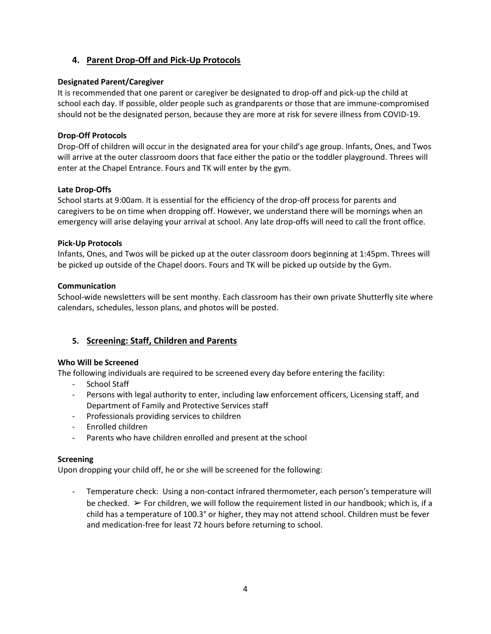# **4. Parent Drop-Off and Pick-Up Protocols**

### **Designated Parent/Caregiver**

It is recommended that one parent or caregiver be designated to drop-off and pick-up the child at school each day. If possible, older people such as grandparents or those that are immune-compromised should not be the designated person, because they are more at risk for severe illness from COVID-19.

# **Drop-Off Protocols**

Drop-Off of children will occur in the designated area for your child's age group. Infants, Ones, and Twos will arrive at the outer classroom doors that face either the patio or the toddler playground. Threes will enter at the Chapel Entrance. Fours and TK will enter by the gym.

# **Late Drop-Offs**

School starts at 9:00am. It is essential for the efficiency of the drop-off process for parents and caregivers to be on time when dropping off. However, we understand there will be mornings when an emergency will arise delaying your arrival at school. Any late drop-offs will need to call the front office.

# **Pick-Up Protocols**

Infants, Ones, and Twos will be picked up at the outer classroom doors beginning at 1:45pm. Threes will be picked up outside of the Chapel doors. Fours and TK will be picked up outside by the Gym.

# **Communication**

School-wide newsletters will be sent monthy. Each classroom has their own private Shutterfly site where calendars, schedules, lesson plans, and photos will be posted.

# **5. Screening: Staff, Children and Parents**

### **Who Will be Screened**

The following individuals are required to be screened every day before entering the facility:

- School Staff
- Persons with legal authority to enter, including law enforcement officers, Licensing staff, and Department of Family and Protective Services staff
- Professionals providing services to children
- Enrolled children
- Parents who have children enrolled and present at the school

### **Screening**

Upon dropping your child off, he or she will be screened for the following:

Temperature check: Using a non-contact infrared thermometer, each person's temperature will be checked.  $\triangleright$  For children, we will follow the requirement listed in our handbook; which is, if a child has a temperature of 100.3° or higher, they may not attend school. Children must be fever and medication-free for least 72 hours before returning to school.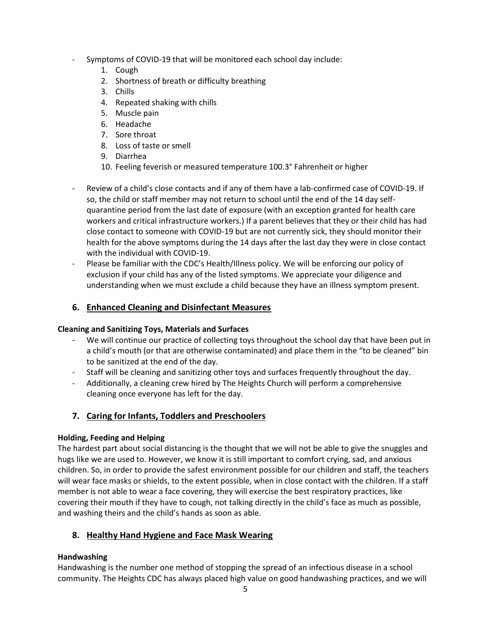- Symptoms of COVID-19 that will be monitored each school day include:
	- 1. Cough
	- 2. Shortness of breath or difficulty breathing
	- 3. Chills
	- 4. Repeated shaking with chills
	- 5. Muscle pain
	- 6. Headache
	- 7. Sore throat
	- 8. Loss of taste or smell
	- 9. Diarrhea
	- 10. Feeling feverish or measured temperature 100.3° Fahrenheit or higher
- Review of a child's close contacts and if any of them have a lab-confirmed case of COVID-19. If so, the child or staff member may not return to school until the end of the 14 day selfquarantine period from the last date of exposure (with an exception granted for health care workers and critical infrastructure workers.) If a parent believes that they or their child has had close contact to someone with COVID-19 but are not currently sick, they should monitor their health for the above symptoms during the 14 days after the last day they were in close contact with the individual with COVID-19.
- Please be familiar with the CDC's Health/Illness policy. We will be enforcing our policy of exclusion if your child has any of the listed symptoms. We appreciate your diligence and understanding when we must exclude a child because they have an illness symptom present.

# **6. Enhanced Cleaning and Disinfectant Measures**

### **Cleaning and Sanitizing Toys, Materials and Surfaces**

- We will continue our practice of collecting toys throughout the school day that have been put in a child's mouth (or that are otherwise contaminated) and place them in the "to be cleaned" bin to be sanitized at the end of the day.
- Staff will be cleaning and sanitizing other toys and surfaces frequently throughout the day.
- Additionally, a cleaning crew hired by The Heights Church will perform a comprehensive cleaning once everyone has left for the day.

# **7. Caring for Infants, Toddlers and Preschoolers**

# **Holding, Feeding and Helping**

The hardest part about social distancing is the thought that we will not be able to give the snuggles and hugs like we are used to. However, we know it is still important to comfort crying, sad, and anxious children. So, in order to provide the safest environment possible for our children and staff, the teachers will wear face masks or shields, to the extent possible, when in close contact with the children. If a staff member is not able to wear a face covering, they will exercise the best respiratory practices, like covering their mouth if they have to cough, not talking directly in the child's face as much as possible, and washing theirs and the child's hands as soon as able.

# **8. Healthy Hand Hygiene and Face Mask Wearing**

# **Handwashing**

Handwashing is the number one method of stopping the spread of an infectious disease in a school community. The Heights CDC has always placed high value on good handwashing practices, and we will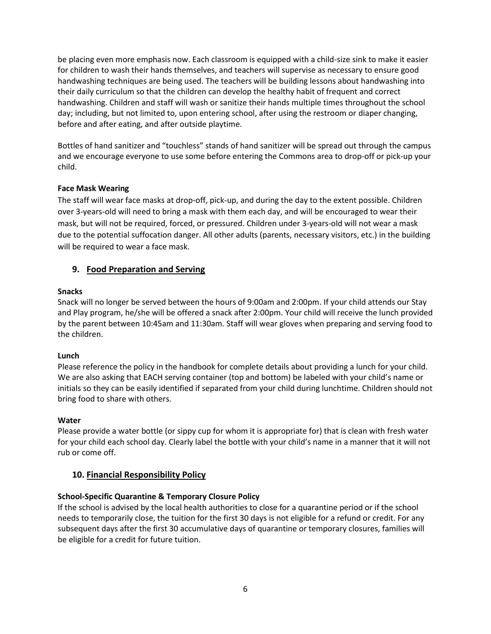be placing even more emphasis now. Each classroom is equipped with a child-size sink to make it easier for children to wash their hands themselves, and teachers will supervise as necessary to ensure good handwashing techniques are being used. The teachers will be building lessons about handwashing into their daily curriculum so that the children can develop the healthy habit of frequent and correct handwashing. Children and staff will wash or sanitize their hands multiple times throughout the school day; including, but not limited to, upon entering school, after using the restroom or diaper changing, before and after eating, and after outside playtime.

Bottles of hand sanitizer and "touchless" stands of hand sanitizer will be spread out through the campus and we encourage everyone to use some before entering the Commons area to drop-off or pick-up your child.

### **Face Mask Wearing**

The staff will wear face masks at drop-off, pick-up, and during the day to the extent possible. Children over 3-years-old will need to bring a mask with them each day, and will be encouraged to wear their mask, but will not be required, forced, or pressured. Children under 3-years-old will not wear a mask due to the potential suffocation danger. All other adults (parents, necessary visitors, etc.) in the building will be required to wear a face mask.

# **9. Food Preparation and Serving**

# **Snacks**

Snack will no longer be served between the hours of 9:00am and 2:00pm. If your child attends our Stay and Play program, he/she will be offered a snack after 2:00pm. Your child will receive the lunch provided by the parent between 10:45am and 11:30am. Staff will wear gloves when preparing and serving food to the children.

### **Lunch**

Please reference the policy in the handbook for complete details about providing a lunch for your child. We are also asking that EACH serving container (top and bottom) be labeled with your child's name or initials so they can be easily identified if separated from your child during lunchtime. Children should not bring food to share with others.

### **Water**

Please provide a water bottle (or sippy cup for whom it is appropriate for) that is clean with fresh water for your child each school day. Clearly label the bottle with your child's name in a manner that it will not rub or come off.

# **10. Financial Responsibility Policy**

### **School-Specific Quarantine & Temporary Closure Policy**

If the school is advised by the local health authorities to close for a quarantine period or if the school needs to temporarily close, the tuition for the first 30 days is not eligible for a refund or credit. For any subsequent days after the first 30 accumulative days of quarantine or temporary closures, families will be eligible for a credit for future tuition.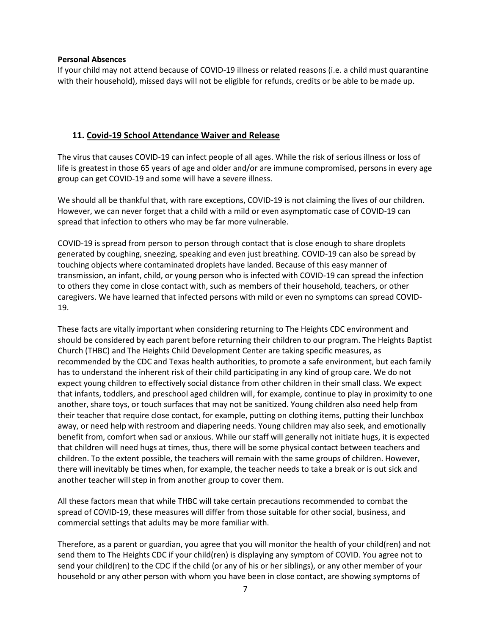#### **Personal Absences**

If your child may not attend because of COVID-19 illness or related reasons (i.e. a child must quarantine with their household), missed days will not be eligible for refunds, credits or be able to be made up.

# **11. Covid-19 School Attendance Waiver and Release**

The virus that causes COVID-19 can infect people of all ages. While the risk of serious illness or loss of life is greatest in those 65 years of age and older and/or are immune compromised, persons in every age group can get COVID-19 and some will have a severe illness.

We should all be thankful that, with rare exceptions, COVID-19 is not claiming the lives of our children. However, we can never forget that a child with a mild or even asymptomatic case of COVID-19 can spread that infection to others who may be far more vulnerable.

COVID-19 is spread from person to person through contact that is close enough to share droplets generated by coughing, sneezing, speaking and even just breathing. COVID-19 can also be spread by touching objects where contaminated droplets have landed. Because of this easy manner of transmission, an infant, child, or young person who is infected with COVID-19 can spread the infection to others they come in close contact with, such as members of their household, teachers, or other caregivers. We have learned that infected persons with mild or even no symptoms can spread COVID-19.

These facts are vitally important when considering returning to The Heights CDC environment and should be considered by each parent before returning their children to our program. The Heights Baptist Church (THBC) and The Heights Child Development Center are taking specific measures, as recommended by the CDC and Texas health authorities, to promote a safe environment, but each family has to understand the inherent risk of their child participating in any kind of group care. We do not expect young children to effectively social distance from other children in their small class. We expect that infants, toddlers, and preschool aged children will, for example, continue to play in proximity to one another, share toys, or touch surfaces that may not be sanitized. Young children also need help from their teacher that require close contact, for example, putting on clothing items, putting their lunchbox away, or need help with restroom and diapering needs. Young children may also seek, and emotionally benefit from, comfort when sad or anxious. While our staff will generally not initiate hugs, it is expected that children will need hugs at times, thus, there will be some physical contact between teachers and children. To the extent possible, the teachers will remain with the same groups of children. However, there will inevitably be times when, for example, the teacher needs to take a break or is out sick and another teacher will step in from another group to cover them.

All these factors mean that while THBC will take certain precautions recommended to combat the spread of COVID-19, these measures will differ from those suitable for other social, business, and commercial settings that adults may be more familiar with.

Therefore, as a parent or guardian, you agree that you will monitor the health of your child(ren) and not send them to The Heights CDC if your child(ren) is displaying any symptom of COVID. You agree not to send your child(ren) to the CDC if the child (or any of his or her siblings), or any other member of your household or any other person with whom you have been in close contact, are showing symptoms of